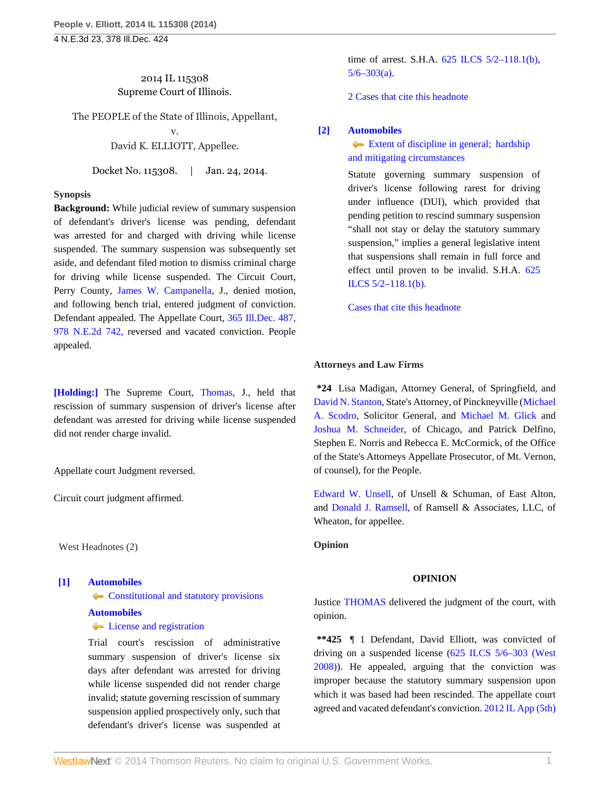# 2014 IL 115308 Supreme Court of Illinois.

The PEOPLE of the State of Illinois, Appellant,

v. David K. ELLIOTT, Appellee.

Docket No. 115308. | Jan. 24, 2014.

### **Synopsis**

**Background:** While judicial review of summary suspension of defendant's driver's license was pending, defendant was arrested for and charged with driving while license suspended. The summary suspension was subsequently set aside, and defendant filed motion to dismiss criminal charge for driving while license suspended. The Circuit Court, Perry County, [James W. Campanella,](http://www.westlaw.com/Link/Document/FullText?findType=h&pubNum=176284&cite=0130340901&originatingDoc=I5a984d76872411e3a659df62eba144e8&refType=RQ&originationContext=document&vr=3.0&rs=cblt1.0&transitionType=DocumentItem&contextData=(sc.Search)) J., denied motion, and following bench trial, entered judgment of conviction. Defendant appealed. The Appellate Court, [365 Ill.Dec. 487,](http://www.westlaw.com/Link/Document/FullText?findType=Y&serNum=2029131584&pubNum=578&originationContext=document&vr=3.0&rs=cblt1.0&transitionType=DocumentItem&contextData=(sc.Search)) [978 N.E.2d 742,](http://www.westlaw.com/Link/Document/FullText?findType=Y&serNum=2029131584&pubNum=578&originationContext=document&vr=3.0&rs=cblt1.0&transitionType=DocumentItem&contextData=(sc.Search)) reversed and vacated conviction. People appealed.

**[\[Holding:\]](#page-0-0)** The Supreme Court, [Thomas,](http://www.westlaw.com/Link/Document/FullText?findType=h&pubNum=176284&cite=0125243001&originatingDoc=I5a984d76872411e3a659df62eba144e8&refType=RQ&originationContext=document&vr=3.0&rs=cblt1.0&transitionType=DocumentItem&contextData=(sc.Search)) J., held that rescission of summary suspension of driver's license after defendant was arrested for driving while license suspended did not render charge invalid.

Appellate court Judgment reversed.

Circuit court judgment affirmed.

West Headnotes (2)

# <span id="page-0-0"></span>**[\[1\]](#page-1-0) [Automobiles](http://www.westlaw.com/Browse/Home/KeyNumber/48A/View.html?docGuid=I5a984d76872411e3a659df62eba144e8&originationContext=document&vr=3.0&rs=cblt1.0&transitionType=DocumentItem&contextData=(sc.Search))**

**[Constitutional and statutory provisions](http://www.westlaw.com/Browse/Home/KeyNumber/48Ak144.1(1.5)/View.html?docGuid=I5a984d76872411e3a659df62eba144e8&originationContext=document&vr=3.0&rs=cblt1.0&transitionType=DocumentItem&contextData=(sc.Search))** 

# **[Automobiles](http://www.westlaw.com/Browse/Home/KeyNumber/48A/View.html?docGuid=I5a984d76872411e3a659df62eba144e8&originationContext=document&vr=3.0&rs=cblt1.0&transitionType=DocumentItem&contextData=(sc.Search))**

**C** [License and registration](http://www.westlaw.com/Browse/Home/KeyNumber/48Ak326/View.html?docGuid=I5a984d76872411e3a659df62eba144e8&originationContext=document&vr=3.0&rs=cblt1.0&transitionType=DocumentItem&contextData=(sc.Search))

Trial court's rescission of administrative summary suspension of driver's license six days after defendant was arrested for driving while license suspended did not render charge invalid; statute governing rescission of summary suspension applied prospectively only, such that defendant's driver's license was suspended at

time of arrest. S.H.A. [625 ILCS 5/2–118.1\(b\),](http://www.westlaw.com/Link/Document/FullText?findType=L&pubNum=1000008&cite=IL625S5%2f2-118.1&originatingDoc=I5a984d76872411e3a659df62eba144e8&refType=SP&originationContext=document&vr=3.0&rs=cblt1.0&transitionType=DocumentItem&contextData=(sc.Search)#co_pp_a83b000018c76)  $5/6 - 303(a)$ .

[2 Cases that cite this headnote](http://www.westlaw.com/Link/RelatedInformation/DocHeadnoteLink?docGuid=I5a984d76872411e3a659df62eba144e8&headnoteId=203259792100120140622080539&originationContext=document&vr=3.0&rs=cblt1.0&transitionType=CitingReferences&contextData=(sc.Search))

# <span id="page-0-1"></span>**[\[2\]](#page-3-0) [Automobiles](http://www.westlaw.com/Browse/Home/KeyNumber/48A/View.html?docGuid=I5a984d76872411e3a659df62eba144e8&originationContext=document&vr=3.0&rs=cblt1.0&transitionType=DocumentItem&contextData=(sc.Search))**

[Extent of discipline in general; hardship](http://www.westlaw.com/Browse/Home/KeyNumber/48Ak144.5/View.html?docGuid=I5a984d76872411e3a659df62eba144e8&originationContext=document&vr=3.0&rs=cblt1.0&transitionType=DocumentItem&contextData=(sc.Search)) [and mitigating circumstances](http://www.westlaw.com/Browse/Home/KeyNumber/48Ak144.5/View.html?docGuid=I5a984d76872411e3a659df62eba144e8&originationContext=document&vr=3.0&rs=cblt1.0&transitionType=DocumentItem&contextData=(sc.Search))

Statute governing summary suspension of driver's license following rarest for driving under influence (DUI), which provided that pending petition to rescind summary suspension "shall not stay or delay the statutory summary suspension," implies a general legislative intent that suspensions shall remain in full force and effect until proven to be invalid. S.H.A. [625](http://www.westlaw.com/Link/Document/FullText?findType=L&pubNum=1000008&cite=IL625S5%2f2-118.1&originatingDoc=I5a984d76872411e3a659df62eba144e8&refType=SP&originationContext=document&vr=3.0&rs=cblt1.0&transitionType=DocumentItem&contextData=(sc.Search)#co_pp_a83b000018c76) [ILCS 5/2–118.1\(b\).](http://www.westlaw.com/Link/Document/FullText?findType=L&pubNum=1000008&cite=IL625S5%2f2-118.1&originatingDoc=I5a984d76872411e3a659df62eba144e8&refType=SP&originationContext=document&vr=3.0&rs=cblt1.0&transitionType=DocumentItem&contextData=(sc.Search)#co_pp_a83b000018c76)

[Cases that cite this headnote](http://www.westlaw.com/Link/RelatedInformation/DocHeadnoteLink?docGuid=I5a984d76872411e3a659df62eba144e8&headnoteId=203259792100220140622080539&originationContext=document&vr=3.0&rs=cblt1.0&transitionType=CitingReferences&contextData=(sc.Search))

#### **Attorneys and Law Firms**

**\*24** Lisa Madigan, Attorney General, of Springfield, and [David N. Stanton](http://www.westlaw.com/Link/Document/FullText?findType=h&pubNum=176284&cite=0217470101&originatingDoc=I5a984d76872411e3a659df62eba144e8&refType=RQ&originationContext=document&vr=3.0&rs=cblt1.0&transitionType=DocumentItem&contextData=(sc.Search)), State's Attorney, of Pinckneyville [\(Michael](http://www.westlaw.com/Link/Document/FullText?findType=h&pubNum=176284&cite=0253594001&originatingDoc=I5a984d76872411e3a659df62eba144e8&refType=RQ&originationContext=document&vr=3.0&rs=cblt1.0&transitionType=DocumentItem&contextData=(sc.Search)) [A. Scodro,](http://www.westlaw.com/Link/Document/FullText?findType=h&pubNum=176284&cite=0253594001&originatingDoc=I5a984d76872411e3a659df62eba144e8&refType=RQ&originationContext=document&vr=3.0&rs=cblt1.0&transitionType=DocumentItem&contextData=(sc.Search)) Solicitor General, and [Michael M. Glick](http://www.westlaw.com/Link/Document/FullText?findType=h&pubNum=176284&cite=0217641601&originatingDoc=I5a984d76872411e3a659df62eba144e8&refType=RQ&originationContext=document&vr=3.0&rs=cblt1.0&transitionType=DocumentItem&contextData=(sc.Search)) and [Joshua M. Schneider,](http://www.westlaw.com/Link/Document/FullText?findType=h&pubNum=176284&cite=0413180401&originatingDoc=I5a984d76872411e3a659df62eba144e8&refType=RQ&originationContext=document&vr=3.0&rs=cblt1.0&transitionType=DocumentItem&contextData=(sc.Search)) of Chicago, and Patrick Delfino, Stephen E. Norris and Rebecca E. McCormick, of the Office of the State's Attorneys Appellate Prosecutor, of Mt. Vernon, of counsel), for the People.

[Edward W. Unsell,](http://www.westlaw.com/Link/Document/FullText?findType=h&pubNum=176284&cite=0206849001&originatingDoc=I5a984d76872411e3a659df62eba144e8&refType=RQ&originationContext=document&vr=3.0&rs=cblt1.0&transitionType=DocumentItem&contextData=(sc.Search)) of Unsell & Schuman, of East Alton, and [Donald J. Ramsell](http://www.westlaw.com/Link/Document/FullText?findType=h&pubNum=176284&cite=0254555401&originatingDoc=I5a984d76872411e3a659df62eba144e8&refType=RQ&originationContext=document&vr=3.0&rs=cblt1.0&transitionType=DocumentItem&contextData=(sc.Search)), of Ramsell & Associates, LLC, of Wheaton, for appellee.

**Opinion**

#### **OPINION**

Justice [THOMAS](http://www.westlaw.com/Link/Document/FullText?findType=h&pubNum=176284&cite=0125243001&originatingDoc=I5a984d76872411e3a659df62eba144e8&refType=RQ&originationContext=document&vr=3.0&rs=cblt1.0&transitionType=DocumentItem&contextData=(sc.Search)) delivered the judgment of the court, with opinion.

**\*\*425** ¶ 1 Defendant, David Elliott, was convicted of driving on a suspended license [\(625 ILCS 5/6–303 \(West](http://www.westlaw.com/Link/Document/FullText?findType=L&pubNum=1000008&cite=IL625S5%2f6-303&originatingDoc=I5a984d76872411e3a659df62eba144e8&refType=LQ&originationContext=document&vr=3.0&rs=cblt1.0&transitionType=DocumentItem&contextData=(sc.Search)) [2008\)](http://www.westlaw.com/Link/Document/FullText?findType=L&pubNum=1000008&cite=IL625S5%2f6-303&originatingDoc=I5a984d76872411e3a659df62eba144e8&refType=LQ&originationContext=document&vr=3.0&rs=cblt1.0&transitionType=DocumentItem&contextData=(sc.Search))). He appealed, arguing that the conviction was improper because the statutory summary suspension upon which it was based had been rescinded. The appellate court agreed and vacated defendant's conviction. [2012 IL App \(5th\)](http://www.westlaw.com/Link/Document/FullText?findType=Y&serNum=2029131584&pubNum=578&originationContext=document&vr=3.0&rs=cblt1.0&transitionType=DocumentItem&contextData=(sc.Search))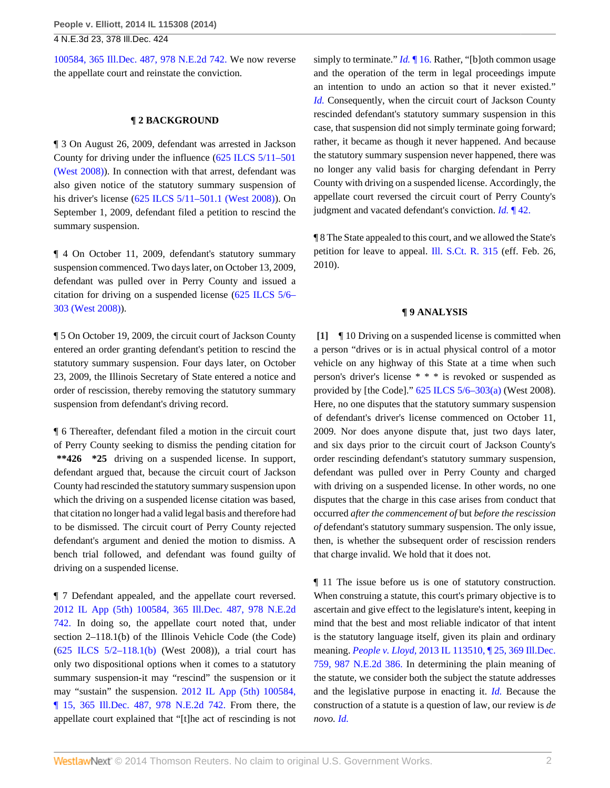[100584, 365 Ill.Dec. 487, 978 N.E.2d 742.](http://www.westlaw.com/Link/Document/FullText?findType=Y&serNum=2029131584&pubNum=578&originationContext=document&vr=3.0&rs=cblt1.0&transitionType=DocumentItem&contextData=(sc.Search)) We now reverse the appellate court and reinstate the conviction.

## **¶ 2 BACKGROUND**

¶ 3 On August 26, 2009, defendant was arrested in Jackson County for driving under the influence ([625 ILCS 5/11–501](http://www.westlaw.com/Link/Document/FullText?findType=L&pubNum=1000008&cite=IL625S5%2f11-501&originatingDoc=I5a984d76872411e3a659df62eba144e8&refType=LQ&originationContext=document&vr=3.0&rs=cblt1.0&transitionType=DocumentItem&contextData=(sc.Search)) [\(West 2008\)](http://www.westlaw.com/Link/Document/FullText?findType=L&pubNum=1000008&cite=IL625S5%2f11-501&originatingDoc=I5a984d76872411e3a659df62eba144e8&refType=LQ&originationContext=document&vr=3.0&rs=cblt1.0&transitionType=DocumentItem&contextData=(sc.Search))). In connection with that arrest, defendant was also given notice of the statutory summary suspension of his driver's license [\(625 ILCS 5/11–501.1 \(West 2008\)](http://www.westlaw.com/Link/Document/FullText?findType=L&pubNum=1000008&cite=IL625S5%2f11-501.1&originatingDoc=I5a984d76872411e3a659df62eba144e8&refType=LQ&originationContext=document&vr=3.0&rs=cblt1.0&transitionType=DocumentItem&contextData=(sc.Search))). On September 1, 2009, defendant filed a petition to rescind the summary suspension.

¶ 4 On October 11, 2009, defendant's statutory summary suspension commenced. Two days later, on October 13, 2009, defendant was pulled over in Perry County and issued a citation for driving on a suspended license ([625 ILCS 5/6–](http://www.westlaw.com/Link/Document/FullText?findType=L&pubNum=1000008&cite=IL625S5%2f6-303&originatingDoc=I5a984d76872411e3a659df62eba144e8&refType=LQ&originationContext=document&vr=3.0&rs=cblt1.0&transitionType=DocumentItem&contextData=(sc.Search)) [303 \(West 2008\)](http://www.westlaw.com/Link/Document/FullText?findType=L&pubNum=1000008&cite=IL625S5%2f6-303&originatingDoc=I5a984d76872411e3a659df62eba144e8&refType=LQ&originationContext=document&vr=3.0&rs=cblt1.0&transitionType=DocumentItem&contextData=(sc.Search))).

¶ 5 On October 19, 2009, the circuit court of Jackson County entered an order granting defendant's petition to rescind the statutory summary suspension. Four days later, on October 23, 2009, the Illinois Secretary of State entered a notice and order of rescission, thereby removing the statutory summary suspension from defendant's driving record.

¶ 6 Thereafter, defendant filed a motion in the circuit court of Perry County seeking to dismiss the pending citation for **\*\*426 \*25** driving on a suspended license. In support, defendant argued that, because the circuit court of Jackson County had rescinded the statutory summary suspension upon which the driving on a suspended license citation was based, that citation no longer had a valid legal basis and therefore had to be dismissed. The circuit court of Perry County rejected defendant's argument and denied the motion to dismiss. A bench trial followed, and defendant was found guilty of driving on a suspended license.

¶ 7 Defendant appealed, and the appellate court reversed. [2012 IL App \(5th\) 100584, 365 Ill.Dec. 487, 978 N.E.2d](http://www.westlaw.com/Link/Document/FullText?findType=Y&serNum=2029131584&pubNum=578&originationContext=document&vr=3.0&rs=cblt1.0&transitionType=DocumentItem&contextData=(sc.Search)) [742.](http://www.westlaw.com/Link/Document/FullText?findType=Y&serNum=2029131584&pubNum=578&originationContext=document&vr=3.0&rs=cblt1.0&transitionType=DocumentItem&contextData=(sc.Search)) In doing so, the appellate court noted that, under section 2–118.1(b) of the Illinois Vehicle Code (the Code) [\(625 ILCS 5/2–118.1\(b\)](http://www.westlaw.com/Link/Document/FullText?findType=L&pubNum=1000008&cite=IL625S5%2f2-118.1&originatingDoc=I5a984d76872411e3a659df62eba144e8&refType=SP&originationContext=document&vr=3.0&rs=cblt1.0&transitionType=DocumentItem&contextData=(sc.Search)#co_pp_a83b000018c76) (West 2008)), a trial court has only two dispositional options when it comes to a statutory summary suspension-it may "rescind" the suspension or it may "sustain" the suspension. [2012 IL App \(5th\) 100584,](http://www.westlaw.com/Link/Document/FullText?findType=Y&serNum=2029131584&pubNum=578&originationContext=document&vr=3.0&rs=cblt1.0&transitionType=DocumentItem&contextData=(sc.Search)) [¶ 15, 365 Ill.Dec. 487, 978 N.E.2d 742.](http://www.westlaw.com/Link/Document/FullText?findType=Y&serNum=2029131584&pubNum=578&originationContext=document&vr=3.0&rs=cblt1.0&transitionType=DocumentItem&contextData=(sc.Search)) From there, the appellate court explained that "[t]he act of rescinding is not

simply to terminate." *Id.* 16. Rather, "[b]oth common usage and the operation of the term in legal proceedings impute an intention to undo an action so that it never existed." *[Id.](http://www.westlaw.com/Link/Document/FullText?findType=Y&serNum=2029131584&originationContext=document&vr=3.0&rs=cblt1.0&transitionType=DocumentItem&contextData=(sc.Search))* Consequently, when the circuit court of Jackson County rescinded defendant's statutory summary suspension in this case, that suspension did not simply terminate going forward; rather, it became as though it never happened. And because the statutory summary suspension never happened, there was no longer any valid basis for charging defendant in Perry County with driving on a suspended license. Accordingly, the appellate court reversed the circuit court of Perry County's judgment and vacated defendant's conviction. *Id.* [¶ 42.](http://www.westlaw.com/Link/Document/FullText?findType=Y&serNum=2029131584&originationContext=document&vr=3.0&rs=cblt1.0&transitionType=DocumentItem&contextData=(sc.Search))

¶ 8 The State appealed to this court, and we allowed the State's petition for leave to appeal. [Ill. S.Ct. R. 315](http://www.westlaw.com/Link/Document/FullText?findType=L&pubNum=1003673&cite=ILSTSCTR315&originatingDoc=I5a984d76872411e3a659df62eba144e8&refType=LQ&originationContext=document&vr=3.0&rs=cblt1.0&transitionType=DocumentItem&contextData=(sc.Search)) (eff. Feb. 26, 2010).

## **¶ 9 ANALYSIS**

<span id="page-1-0"></span>**[\[1\]](#page-0-0)** ¶ 10 Driving on a suspended license is committed when a person "drives or is in actual physical control of a motor vehicle on any highway of this State at a time when such person's driver's license \* \* \* is revoked or suspended as provided by [the Code]." [625 ILCS 5/6–303\(a\)](http://www.westlaw.com/Link/Document/FullText?findType=L&pubNum=1000008&cite=IL625S5%2f6-303&originatingDoc=I5a984d76872411e3a659df62eba144e8&refType=SP&originationContext=document&vr=3.0&rs=cblt1.0&transitionType=DocumentItem&contextData=(sc.Search)#co_pp_8b3b0000958a4) (West 2008). Here, no one disputes that the statutory summary suspension of defendant's driver's license commenced on October 11, 2009. Nor does anyone dispute that, just two days later, and six days prior to the circuit court of Jackson County's order rescinding defendant's statutory summary suspension, defendant was pulled over in Perry County and charged with driving on a suspended license. In other words, no one disputes that the charge in this case arises from conduct that occurred *after the commencement of* but *before the rescission of* defendant's statutory summary suspension. The only issue, then, is whether the subsequent order of rescission renders that charge invalid. We hold that it does not.

¶ 11 The issue before us is one of statutory construction. When construing a statute, this court's primary objective is to ascertain and give effect to the legislature's intent, keeping in mind that the best and most reliable indicator of that intent is the statutory language itself, given its plain and ordinary meaning. *People v. Lloyd,* [2013 IL 113510, ¶ 25, 369 Ill.Dec.](http://www.westlaw.com/Link/Document/FullText?findType=Y&serNum=2030385534&pubNum=578&originationContext=document&vr=3.0&rs=cblt1.0&transitionType=DocumentItem&contextData=(sc.Search)) [759, 987 N.E.2d 386.](http://www.westlaw.com/Link/Document/FullText?findType=Y&serNum=2030385534&pubNum=578&originationContext=document&vr=3.0&rs=cblt1.0&transitionType=DocumentItem&contextData=(sc.Search)) In determining the plain meaning of the statute, we consider both the subject the statute addresses and the legislative purpose in enacting it. *[Id.](http://www.westlaw.com/Link/Document/FullText?findType=Y&serNum=2030385534&originationContext=document&vr=3.0&rs=cblt1.0&transitionType=DocumentItem&contextData=(sc.Search))* Because the construction of a statute is a question of law, our review is *de novo. [Id.](http://www.westlaw.com/Link/Document/FullText?findType=Y&serNum=2030385534&originationContext=document&vr=3.0&rs=cblt1.0&transitionType=DocumentItem&contextData=(sc.Search))*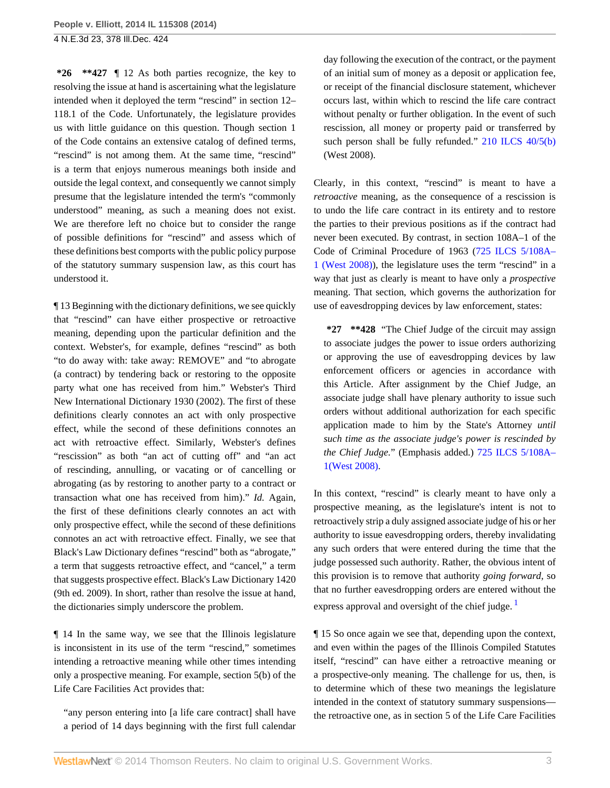**\*26 \*\*427** ¶ 12 As both parties recognize, the key to resolving the issue at hand is ascertaining what the legislature intended when it deployed the term "rescind" in section 12– 118.1 of the Code. Unfortunately, the legislature provides us with little guidance on this question. Though section 1 of the Code contains an extensive catalog of defined terms, "rescind" is not among them. At the same time, "rescind" is a term that enjoys numerous meanings both inside and outside the legal context, and consequently we cannot simply presume that the legislature intended the term's "commonly understood" meaning, as such a meaning does not exist. We are therefore left no choice but to consider the range of possible definitions for "rescind" and assess which of these definitions best comports with the public policy purpose of the statutory summary suspension law, as this court has understood it.

¶ 13 Beginning with the dictionary definitions, we see quickly that "rescind" can have either prospective or retroactive meaning, depending upon the particular definition and the context. Webster's, for example, defines "rescind" as both "to do away with: take away: REMOVE" and "to abrogate (a contract) by tendering back or restoring to the opposite party what one has received from him." Webster's Third New International Dictionary 1930 (2002). The first of these definitions clearly connotes an act with only prospective effect, while the second of these definitions connotes an act with retroactive effect. Similarly, Webster's defines "rescission" as both "an act of cutting off" and "an act of rescinding, annulling, or vacating or of cancelling or abrogating (as by restoring to another party to a contract or transaction what one has received from him)." *Id.* Again, the first of these definitions clearly connotes an act with only prospective effect, while the second of these definitions connotes an act with retroactive effect. Finally, we see that Black's Law Dictionary defines "rescind" both as "abrogate," a term that suggests retroactive effect, and "cancel," a term that suggests prospective effect. Black's Law Dictionary 1420 (9th ed. 2009). In short, rather than resolve the issue at hand, the dictionaries simply underscore the problem.

¶ 14 In the same way, we see that the Illinois legislature is inconsistent in its use of the term "rescind," sometimes intending a retroactive meaning while other times intending only a prospective meaning. For example, section 5(b) of the Life Care Facilities Act provides that:

"any person entering into [a life care contract] shall have a period of 14 days beginning with the first full calendar day following the execution of the contract, or the payment of an initial sum of money as a deposit or application fee, or receipt of the financial disclosure statement, whichever occurs last, within which to rescind the life care contract without penalty or further obligation. In the event of such rescission, all money or property paid or transferred by such person shall be fully refunded." [210 ILCS 40/5\(b\)](http://www.westlaw.com/Link/Document/FullText?findType=L&pubNum=1000008&cite=ILSTC210S40%2f5&originatingDoc=I5a984d76872411e3a659df62eba144e8&refType=SP&originationContext=document&vr=3.0&rs=cblt1.0&transitionType=DocumentItem&contextData=(sc.Search)#co_pp_a83b000018c76) (West 2008).

Clearly, in this context, "rescind" is meant to have a *retroactive* meaning, as the consequence of a rescission is to undo the life care contract in its entirety and to restore the parties to their previous positions as if the contract had never been executed. By contrast, in section 108A–1 of the Code of Criminal Procedure of 1963 ([725 ILCS 5/108A–](http://www.westlaw.com/Link/Document/FullText?findType=L&pubNum=1000008&cite=ILSTC725S5%2f108A-1&originatingDoc=I5a984d76872411e3a659df62eba144e8&refType=LQ&originationContext=document&vr=3.0&rs=cblt1.0&transitionType=DocumentItem&contextData=(sc.Search)) [1 \(West 2008\)\)](http://www.westlaw.com/Link/Document/FullText?findType=L&pubNum=1000008&cite=ILSTC725S5%2f108A-1&originatingDoc=I5a984d76872411e3a659df62eba144e8&refType=LQ&originationContext=document&vr=3.0&rs=cblt1.0&transitionType=DocumentItem&contextData=(sc.Search)), the legislature uses the term "rescind" in a way that just as clearly is meant to have only a *prospective* meaning. That section, which governs the authorization for use of eavesdropping devices by law enforcement, states:

**\*27 \*\*428** "The Chief Judge of the circuit may assign to associate judges the power to issue orders authorizing or approving the use of eavesdropping devices by law enforcement officers or agencies in accordance with this Article. After assignment by the Chief Judge, an associate judge shall have plenary authority to issue such orders without additional authorization for each specific application made to him by the State's Attorney *until such time as the associate judge's power is rescinded by the Chief Judge.*" (Emphasis added.) [725 ILCS 5/108A–](http://www.westlaw.com/Link/Document/FullText?findType=L&pubNum=1000008&cite=ILSTC725S5%2f108A-1&originatingDoc=I5a984d76872411e3a659df62eba144e8&refType=LQ&originationContext=document&vr=3.0&rs=cblt1.0&transitionType=DocumentItem&contextData=(sc.Search)) [1\(West 2008\).](http://www.westlaw.com/Link/Document/FullText?findType=L&pubNum=1000008&cite=ILSTC725S5%2f108A-1&originatingDoc=I5a984d76872411e3a659df62eba144e8&refType=LQ&originationContext=document&vr=3.0&rs=cblt1.0&transitionType=DocumentItem&contextData=(sc.Search))

In this context, "rescind" is clearly meant to have only a prospective meaning, as the legislature's intent is not to retroactively strip a duly assigned associate judge of his or her authority to issue eavesdropping orders, thereby invalidating any such orders that were entered during the time that the judge possessed such authority. Rather, the obvious intent of this provision is to remove that authority *going forward,* so that no further eavesdropping orders are entered without the express approval and oversight of the chief judge.  $\frac{1}{1}$  $\frac{1}{1}$  $\frac{1}{1}$ 

<span id="page-2-0"></span>¶ 15 So once again we see that, depending upon the context, and even within the pages of the Illinois Compiled Statutes itself, "rescind" can have either a retroactive meaning or a prospective-only meaning. The challenge for us, then, is to determine which of these two meanings the legislature intended in the context of statutory summary suspensions the retroactive one, as in section 5 of the Life Care Facilities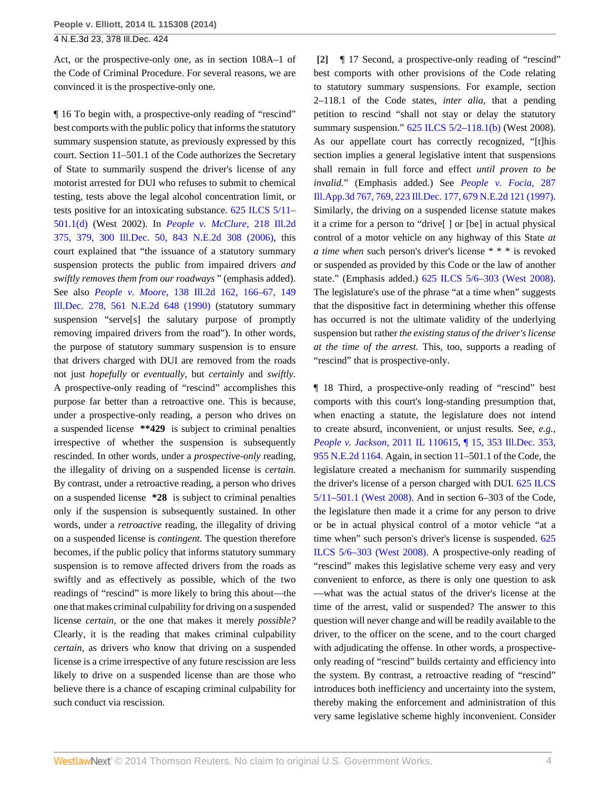Act, or the prospective-only one, as in section 108A–1 of the Code of Criminal Procedure. For several reasons, we are convinced it is the prospective-only one.

¶ 16 To begin with, a prospective-only reading of "rescind" best comports with the public policy that informs the statutory summary suspension statute, as previously expressed by this court. Section 11–501.1 of the Code authorizes the Secretary of State to summarily suspend the driver's license of any motorist arrested for DUI who refuses to submit to chemical testing, tests above the legal alcohol concentration limit, or tests positive for an intoxicating substance. [625 ILCS 5/11–](http://www.westlaw.com/Link/Document/FullText?findType=L&pubNum=1000008&cite=IL625S5%2f11-501.1&originatingDoc=I5a984d76872411e3a659df62eba144e8&refType=SP&originationContext=document&vr=3.0&rs=cblt1.0&transitionType=DocumentItem&contextData=(sc.Search)#co_pp_5ba1000067d06) [501.1\(d\)](http://www.westlaw.com/Link/Document/FullText?findType=L&pubNum=1000008&cite=IL625S5%2f11-501.1&originatingDoc=I5a984d76872411e3a659df62eba144e8&refType=SP&originationContext=document&vr=3.0&rs=cblt1.0&transitionType=DocumentItem&contextData=(sc.Search)#co_pp_5ba1000067d06) (West 2002). In *[People v. McClure,](http://www.westlaw.com/Link/Document/FullText?findType=Y&serNum=2008226944&pubNum=578&originationContext=document&vr=3.0&rs=cblt1.0&transitionType=DocumentItem&contextData=(sc.Search))* 218 Ill.2d [375, 379, 300 Ill.Dec. 50, 843 N.E.2d 308 \(2006\),](http://www.westlaw.com/Link/Document/FullText?findType=Y&serNum=2008226944&pubNum=578&originationContext=document&vr=3.0&rs=cblt1.0&transitionType=DocumentItem&contextData=(sc.Search)) this court explained that "the issuance of a statutory summary suspension protects the public from impaired drivers *and swiftly removes them from our roadways* " (emphasis added). See also *People v. Moore,* [138 Ill.2d 162, 166–67, 149](http://www.westlaw.com/Link/Document/FullText?findType=Y&serNum=1990138358&pubNum=578&originationContext=document&vr=3.0&rs=cblt1.0&transitionType=DocumentItem&contextData=(sc.Search)) [Ill.Dec. 278, 561 N.E.2d 648 \(1990\)](http://www.westlaw.com/Link/Document/FullText?findType=Y&serNum=1990138358&pubNum=578&originationContext=document&vr=3.0&rs=cblt1.0&transitionType=DocumentItem&contextData=(sc.Search)) (statutory summary suspension "serve[s] the salutary purpose of promptly removing impaired drivers from the road"). In other words, the purpose of statutory summary suspension is to ensure that drivers charged with DUI are removed from the roads not just *hopefully* or *eventually,* but *certainly* and *swiftly.* A prospective-only reading of "rescind" accomplishes this purpose far better than a retroactive one. This is because, under a prospective-only reading, a person who drives on a suspended license **\*\*429** is subject to criminal penalties irrespective of whether the suspension is subsequently rescinded. In other words, under a *prospective-only* reading, the illegality of driving on a suspended license is *certain.* By contrast, under a retroactive reading, a person who drives on a suspended license **\*28** is subject to criminal penalties only if the suspension is subsequently sustained. In other words, under a *retroactive* reading, the illegality of driving on a suspended license is *contingent.* The question therefore becomes, if the public policy that informs statutory summary suspension is to remove affected drivers from the roads as swiftly and as effectively as possible, which of the two readings of "rescind" is more likely to bring this about—the one that makes criminal culpability for driving on a suspended license *certain,* or the one that makes it merely *possible?* Clearly, it is the reading that makes criminal culpability *certain,* as drivers who know that driving on a suspended license is a crime irrespective of any future rescission are less likely to drive on a suspended license than are those who believe there is a chance of escaping criminal culpability for such conduct via rescission.

<span id="page-3-0"></span>**[\[2\]](#page-0-1)** ¶ 17 Second, a prospective-only reading of "rescind" best comports with other provisions of the Code relating to statutory summary suspensions. For example, section 2–118.1 of the Code states, *inter alia,* that a pending petition to rescind "shall not stay or delay the statutory summary suspension." [625 ILCS 5/2–118.1\(b\)](http://www.westlaw.com/Link/Document/FullText?findType=L&pubNum=1000008&cite=IL625S5%2f2-118.1&originatingDoc=I5a984d76872411e3a659df62eba144e8&refType=SP&originationContext=document&vr=3.0&rs=cblt1.0&transitionType=DocumentItem&contextData=(sc.Search)#co_pp_a83b000018c76) (West 2008). As our appellate court has correctly recognized, "[t]his section implies a general legislative intent that suspensions shall remain in full force and effect *until proven to be invalid.*" (Emphasis added.) See *[People v. Focia,](http://www.westlaw.com/Link/Document/FullText?findType=Y&serNum=1997095743&pubNum=578&originationContext=document&vr=3.0&rs=cblt1.0&transitionType=DocumentItem&contextData=(sc.Search))* 287 [Ill.App.3d 767, 769, 223 Ill.Dec. 177, 679 N.E.2d 121 \(1997\).](http://www.westlaw.com/Link/Document/FullText?findType=Y&serNum=1997095743&pubNum=578&originationContext=document&vr=3.0&rs=cblt1.0&transitionType=DocumentItem&contextData=(sc.Search)) Similarly, the driving on a suspended license statute makes it a crime for a person to "drive[ ] or [be] in actual physical control of a motor vehicle on any highway of this State *at a time when* such person's driver's license \* \* \* is revoked or suspended as provided by this Code or the law of another state." (Emphasis added.) [625 ILCS 5/6–303 \(West 2008\)](http://www.westlaw.com/Link/Document/FullText?findType=L&pubNum=1000008&cite=IL625S5%2f6-303&originatingDoc=I5a984d76872411e3a659df62eba144e8&refType=LQ&originationContext=document&vr=3.0&rs=cblt1.0&transitionType=DocumentItem&contextData=(sc.Search)). The legislature's use of the phrase "at a time when" suggests that the dispositive fact in determining whether this offense has occurred is not the ultimate validity of the underlying suspension but rather *the existing status of the driver's license at the time of the arrest.* This, too, supports a reading of "rescind" that is prospective-only.

¶ 18 Third, a prospective-only reading of "rescind" best comports with this court's long-standing presumption that, when enacting a statute, the legislature does not intend to create absurd, inconvenient, or unjust results. See, *e.g., People v. Jackson,* [2011 IL 110615, ¶ 15, 353 Ill.Dec. 353,](http://www.westlaw.com/Link/Document/FullText?findType=Y&serNum=2026192740&pubNum=578&originationContext=document&vr=3.0&rs=cblt1.0&transitionType=DocumentItem&contextData=(sc.Search)) [955 N.E.2d 1164.](http://www.westlaw.com/Link/Document/FullText?findType=Y&serNum=2026192740&pubNum=578&originationContext=document&vr=3.0&rs=cblt1.0&transitionType=DocumentItem&contextData=(sc.Search)) Again, in section 11–501.1 of the Code, the legislature created a mechanism for summarily suspending the driver's license of a person charged with DUI. [625 ILCS](http://www.westlaw.com/Link/Document/FullText?findType=L&pubNum=1000008&cite=IL625S5%2f11-501.1&originatingDoc=I5a984d76872411e3a659df62eba144e8&refType=LQ&originationContext=document&vr=3.0&rs=cblt1.0&transitionType=DocumentItem&contextData=(sc.Search)) [5/11–501.1 \(West 2008\)](http://www.westlaw.com/Link/Document/FullText?findType=L&pubNum=1000008&cite=IL625S5%2f11-501.1&originatingDoc=I5a984d76872411e3a659df62eba144e8&refType=LQ&originationContext=document&vr=3.0&rs=cblt1.0&transitionType=DocumentItem&contextData=(sc.Search)). And in section 6–303 of the Code, the legislature then made it a crime for any person to drive or be in actual physical control of a motor vehicle "at a time when" such person's driver's license is suspended. [625](http://www.westlaw.com/Link/Document/FullText?findType=L&pubNum=1000008&cite=IL625S5%2f6-303&originatingDoc=I5a984d76872411e3a659df62eba144e8&refType=LQ&originationContext=document&vr=3.0&rs=cblt1.0&transitionType=DocumentItem&contextData=(sc.Search)) [ILCS 5/6–303 \(West 2008\).](http://www.westlaw.com/Link/Document/FullText?findType=L&pubNum=1000008&cite=IL625S5%2f6-303&originatingDoc=I5a984d76872411e3a659df62eba144e8&refType=LQ&originationContext=document&vr=3.0&rs=cblt1.0&transitionType=DocumentItem&contextData=(sc.Search)) A prospective-only reading of "rescind" makes this legislative scheme very easy and very convenient to enforce, as there is only one question to ask —what was the actual status of the driver's license at the time of the arrest, valid or suspended? The answer to this question will never change and will be readily available to the driver, to the officer on the scene, and to the court charged with adjudicating the offense. In other words, a prospectiveonly reading of "rescind" builds certainty and efficiency into the system. By contrast, a retroactive reading of "rescind" introduces both inefficiency and uncertainty into the system, thereby making the enforcement and administration of this very same legislative scheme highly inconvenient. Consider